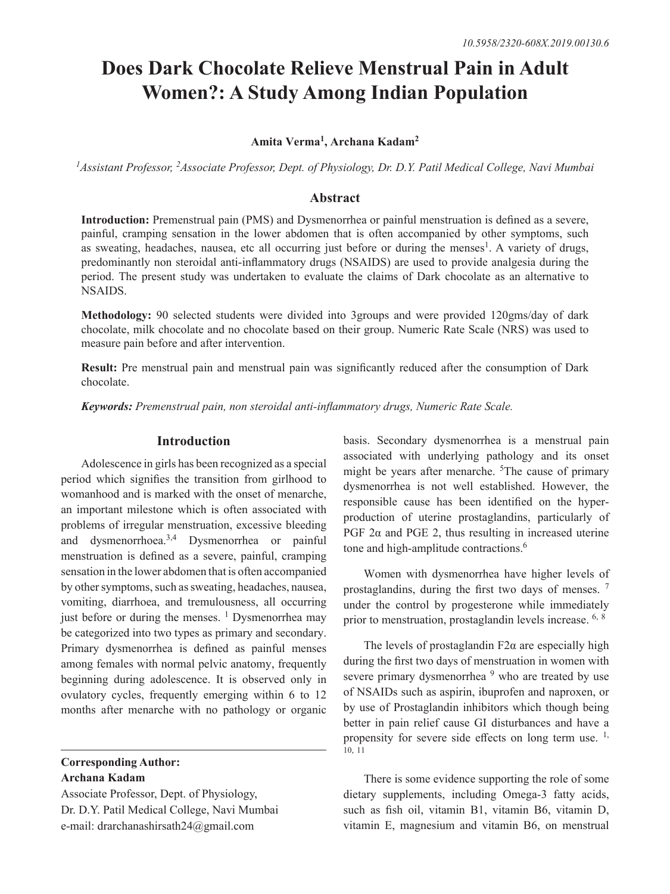# **Does Dark Chocolate Relieve Menstrual Pain in Adult Women?: A Study Among Indian Population**

# **Amita Verma1 , Archana Kadam<sup>2</sup>**

*1Assistant Professor, 2Associate Professor, Dept. of Physiology, Dr. D.Y. Patil Medical College, Navi Mumbai*

# **Abstract**

**Introduction:** Premenstrual pain (PMS) and Dysmenorrhea or painful menstruation is defined as a severe, painful, cramping sensation in the lower abdomen that is often accompanied by other symptoms, such as sweating, headaches, nausea, etc all occurring just before or during the menses<sup>1</sup>. A variety of drugs, predominantly non steroidal anti-inflammatory drugs (NSAIDS) are used to provide analgesia during the period. The present study was undertaken to evaluate the claims of Dark chocolate as an alternative to NSAIDS.

**Methodology:** 90 selected students were divided into 3groups and were provided 120gms/day of dark chocolate, milk chocolate and no chocolate based on their group. Numeric Rate Scale (NRS) was used to measure pain before and after intervention.

**Result:** Pre menstrual pain and menstrual pain was significantly reduced after the consumption of Dark chocolate.

*Keywords: Premenstrual pain, non steroidal anti-inflammatory drugs, Numeric Rate Scale.*

# **Introduction**

Adolescence in girls has been recognized as a special period which signifies the transition from girlhood to womanhood and is marked with the onset of menarche, an important milestone which is often associated with problems of irregular menstruation, excessive bleeding and dysmenorrhoea.3,4 Dysmenorrhea or painful menstruation is defined as a severe, painful, cramping sensation in the lower abdomen that is often accompanied by other symptoms, such as sweating, headaches, nausea, vomiting, diarrhoea, and tremulousness, all occurring just before or during the menses.  $\frac{1}{1}$  Dysmenorrhea may be categorized into two types as primary and secondary. Primary dysmenorrhea is defined as painful menses among females with normal pelvic anatomy, frequently beginning during adolescence. It is observed only in ovulatory cycles, frequently emerging within 6 to 12 months after menarche with no pathology or organic

# **Corresponding Author: Archana Kadam**

Associate Professor, Dept. of Physiology, Dr. D.Y. Patil Medical College, Navi Mumbai e-mail: drarchanashirsath24@gmail.com

basis. Secondary dysmenorrhea is a menstrual pain associated with underlying pathology and its onset might be years after menarche. <sup>5</sup>The cause of primary dysmenorrhea is not well established. However, the responsible cause has been identified on the hyperproduction of uterine prostaglandins, particularly of PGF  $2\alpha$  and PGE 2, thus resulting in increased uterine tone and high-amplitude contractions.<sup>6</sup>

Women with dysmenorrhea have higher levels of prostaglandins, during the first two days of menses. <sup>7</sup> under the control by progesterone while immediately prior to menstruation, prostaglandin levels increase. 6, <sup>8</sup>

The levels of prostaglandin  $F2\alpha$  are especially high during the first two days of menstruation in women with severe primary dysmenorrhea<sup>9</sup> who are treated by use of NSAIDs such as aspirin, ibuprofen and naproxen, or by use of Prostaglandin inhibitors which though being better in pain relief cause GI disturbances and have a propensity for severe side effects on long term use.  $1$ , 10, 11

There is some evidence supporting the role of some dietary supplements, including Omega-3 fatty acids, such as fish oil, vitamin B1, vitamin B6, vitamin D, vitamin E, magnesium and vitamin B6, on menstrual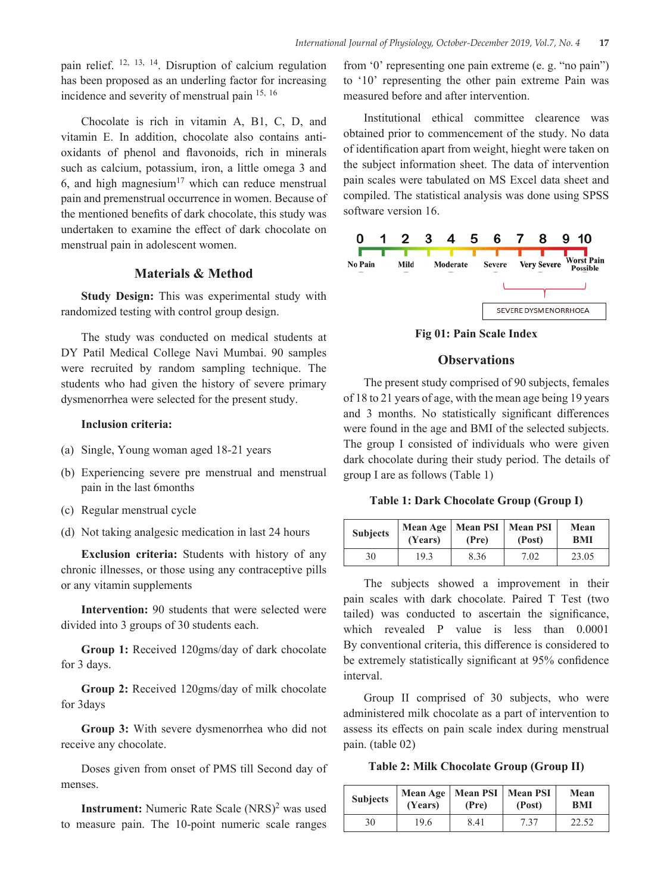pain relief. 12, 13, 14. Disruption of calcium regulation has been proposed as an underling factor for increasing incidence and severity of menstrual pain 15, <sup>16</sup>

Chocolate is rich in vitamin A, B1, C, D, and vitamin E. In addition, chocolate also contains antioxidants of phenol and flavonoids, rich in minerals such as calcium, potassium, iron, a little omega 3 and 6, and high magnesium<sup>17</sup> which can reduce menstrual pain and premenstrual occurrence in women. Because of the mentioned benefits of dark chocolate, this study was undertaken to examine the effect of dark chocolate on menstrual pain in adolescent women.

# **Materials & Method**

**Study Design:** This was experimental study with randomized testing with control group design.

The study was conducted on medical students at DY Patil Medical College Navi Mumbai. 90 samples were recruited by random sampling technique. The students who had given the history of severe primary dysmenorrhea were selected for the present study.

# **Inclusion criteria:**

- (a) Single, Young woman aged 18-21 years
- (b) Experiencing severe pre menstrual and menstrual pain in the last 6months
- (c) Regular menstrual cycle
- (d) Not taking analgesic medication in last 24 hours

**Exclusion criteria:** Students with history of any chronic illnesses, or those using any contraceptive pills or any vitamin supplements

**Intervention:** 90 students that were selected were divided into 3 groups of 30 students each.

**Group 1:** Received 120gms/day of dark chocolate for 3 days.

**Group 2:** Received 120gms/day of milk chocolate for 3days

**Group 3:** With severe dysmenorrhea who did not receive any chocolate.

Doses given from onset of PMS till Second day of menses.

**Instrument:** Numeric Rate Scale (NRS)<sup>2</sup> was used to measure pain. The 10-point numeric scale ranges

from '0' representing one pain extreme (e. g. "no pain") to '10' representing the other pain extreme Pain was measured before and after intervention.

Institutional ethical committee clearence was obtained prior to commencement of the study. No data of identification apart from weight, hieght were taken on the subject information sheet. The data of intervention pain scales were tabulated on MS Excel data sheet and compiled. The statistical analysis was done using SPSS software version 16.



**Fig 01: Pain Scale Index**

#### **Observations**

The present study comprised of 90 subjects, females of 18 to 21 years of age, with the mean age being 19 years and 3 months. No statistically significant differences were found in the age and BMI of the selected subjects. The group I consisted of individuals who were given dark chocolate during their study period. The details of group I are as follows (Table 1)

**Table 1: Dark Chocolate Group (Group I)**

| <b>Subjects</b> | (Years) | Mean Age   Mean PSI   Mean PSI<br>(Pre) | (Post) | Mean<br>BMI |
|-----------------|---------|-----------------------------------------|--------|-------------|
| 30              | 19.3    | 8.36                                    | 7.02   | 23.05       |

The subjects showed a improvement in their pain scales with dark chocolate. Paired T Test (two tailed) was conducted to ascertain the significance, which revealed P value is less than 0.0001 By conventional criteria, this difference is considered to be extremely statistically significant at 95% confidence interval.

Group II comprised of 30 subjects, who were administered milk chocolate as a part of intervention to assess its effects on pain scale index during menstrual pain. (table 02)

**Table 2: Milk Chocolate Group (Group II)**

| <b>Subjects</b> | (Years) | Mean Age   Mean PSI   Mean PSI<br>(Pre) | (Post) | Mean<br><b>BMI</b> |
|-----------------|---------|-----------------------------------------|--------|--------------------|
| 30              | 19.6    | 8.41                                    | 7.37   | 22.52              |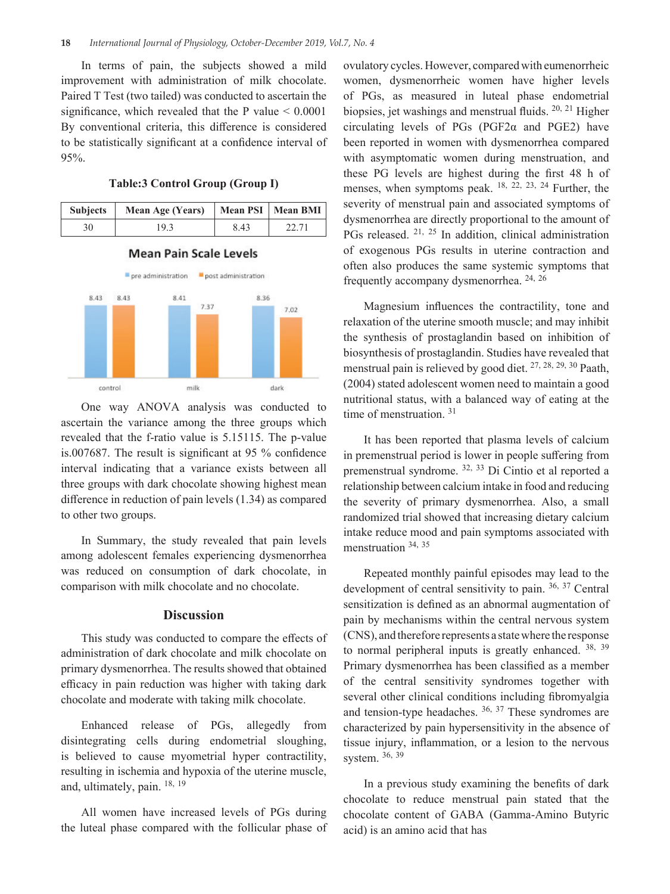In terms of pain, the subjects showed a mild improvement with administration of milk chocolate. Paired T Test (two tailed) was conducted to ascertain the significance, which revealed that the P value  $< 0.0001$ By conventional criteria, this difference is considered to be statistically significant at a confidence interval of 95%.

**Table:3 Control Group (Group I)**



# **Mean Pain Scale Levels**



One way ANOVA analysis was conducted to ascertain the variance among the three groups which revealed that the f-ratio value is 5.15115. The p-value is.007687. The result is significant at 95 % confidence interval indicating that a variance exists between all three groups with dark chocolate showing highest mean difference in reduction of pain levels (1.34) as compared to other two groups.

In Summary, the study revealed that pain levels among adolescent females experiencing dysmenorrhea was reduced on consumption of dark chocolate, in comparison with milk chocolate and no chocolate.

#### **Discussion**

This study was conducted to compare the effects of administration of dark chocolate and milk chocolate on primary dysmenorrhea. The results showed that obtained efficacy in pain reduction was higher with taking dark chocolate and moderate with taking milk chocolate.

Enhanced release of PGs, allegedly from disintegrating cells during endometrial sloughing, is believed to cause myometrial hyper contractility, resulting in ischemia and hypoxia of the uterine muscle, and, ultimately, pain. 18, <sup>19</sup>

All women have increased levels of PGs during the luteal phase compared with the follicular phase of

ovulatory cycles. However, compared with eumenorrheic women, dysmenorrheic women have higher levels of PGs, as measured in luteal phase endometrial biopsies, jet washings and menstrual fluids. <sup>20, 21</sup> Higher circulating levels of PGs (PGF2α and PGE2) have been reported in women with dysmenorrhea compared with asymptomatic women during menstruation, and these PG levels are highest during the first 48 h of menses, when symptoms peak. <sup>18, 22, 23, 24</sup> Further, the severity of menstrual pain and associated symptoms of dysmenorrhea are directly proportional to the amount of PGs released. <sup>21, 25</sup> In addition, clinical administration of exogenous PGs results in uterine contraction and often also produces the same systemic symptoms that frequently accompany dysmenorrhea. 24, <sup>26</sup>

Magnesium influences the contractility, tone and relaxation of the uterine smooth muscle; and may inhibit the synthesis of prostaglandin based on inhibition of biosynthesis of prostaglandin. Studies have revealed that menstrual pain is relieved by good diet. 27, 28, 29, 30 Paath, (2004) stated adolescent women need to maintain a good nutritional status, with a balanced way of eating at the time of menstruation.  $31$ 

It has been reported that plasma levels of calcium in premenstrual period is lower in people suffering from premenstrual syndrome. 32, 33 Di Cintio et al reported a relationship between calcium intake in food and reducing the severity of primary dysmenorrhea. Also, a small randomized trial showed that increasing dietary calcium intake reduce mood and pain symptoms associated with menstruation 34, 35

Repeated monthly painful episodes may lead to the development of central sensitivity to pain. <sup>36, 37</sup> Central sensitization is defined as an abnormal augmentation of pain by mechanisms within the central nervous system (CNS), and therefore represents a state where the response to normal peripheral inputs is greatly enhanced. 38, 39 Primary dysmenorrhea has been classified as a member of the central sensitivity syndromes together with several other clinical conditions including fibromyalgia and tension-type headaches. 36, 37 These syndromes are characterized by pain hypersensitivity in the absence of tissue injury, inflammation, or a lesion to the nervous system. 36, <sup>39</sup>

In a previous study examining the benefits of dark chocolate to reduce menstrual pain stated that the chocolate content of GABA (Gamma-Amino Butyric acid) is an amino acid that has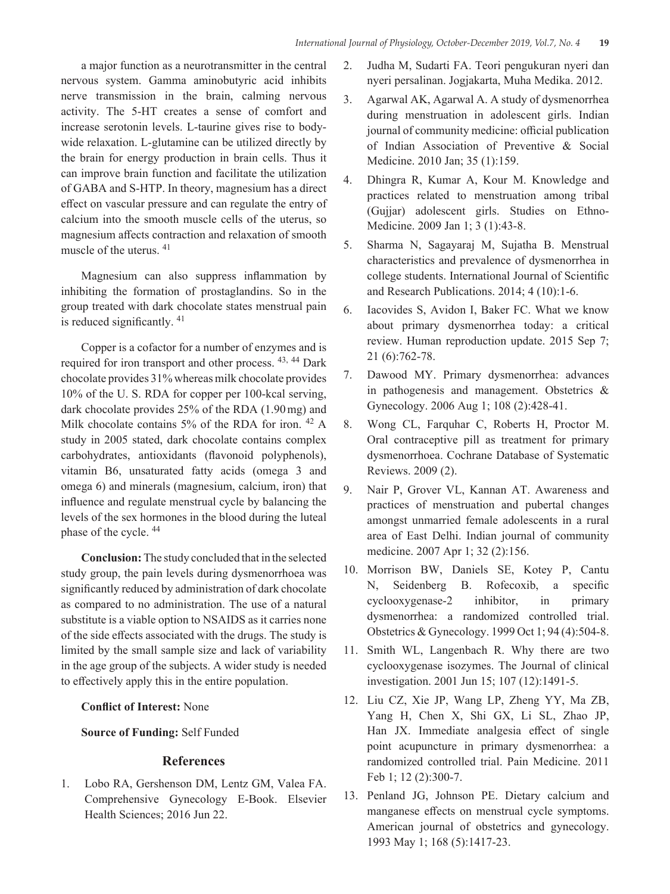a major function as a neurotransmitter in the central nervous system. Gamma aminobutyric acid inhibits nerve transmission in the brain, calming nervous activity. The 5-HT creates a sense of comfort and increase serotonin levels. L-taurine gives rise to bodywide relaxation. L-glutamine can be utilized directly by the brain for energy production in brain cells. Thus it can improve brain function and facilitate the utilization of GABA and S-HTP. In theory, magnesium has a direct effect on vascular pressure and can regulate the entry of calcium into the smooth muscle cells of the uterus, so magnesium affects contraction and relaxation of smooth muscle of the uterus. 41

Magnesium can also suppress inflammation by inhibiting the formation of prostaglandins. So in the group treated with dark chocolate states menstrual pain is reduced significantly. <sup>41</sup>

Copper is a cofactor for a number of enzymes and is required for iron transport and other process. 43, 44 Dark chocolate provides 31% whereas milk chocolate provides 10% of the U. S. RDA for copper per 100-kcal serving, dark chocolate provides 25% of the RDA (1.90mg) and Milk chocolate contains 5% of the RDA for iron. 42 A study in 2005 stated, dark chocolate contains complex carbohydrates, antioxidants (flavonoid polyphenols), vitamin B6, unsaturated fatty acids (omega 3 and omega 6) and minerals (magnesium, calcium, iron) that influence and regulate menstrual cycle by balancing the levels of the sex hormones in the blood during the luteal phase of the cycle. 44

**Conclusion:** The study concluded that in the selected study group, the pain levels during dysmenorrhoea was significantly reduced by administration of dark chocolate as compared to no administration. The use of a natural substitute is a viable option to NSAIDS as it carries none of the side effects associated with the drugs. The study is limited by the small sample size and lack of variability in the age group of the subjects. A wider study is needed to effectively apply this in the entire population.

# **Conflict of Interest:** None

# **Source of Funding:** Self Funded

# **References**

1. Lobo RA, Gershenson DM, Lentz GM, Valea FA. Comprehensive Gynecology E-Book. Elsevier Health Sciences; 2016 Jun 22.

- 2. Judha M, Sudarti FA. Teori pengukuran nyeri dan nyeri persalinan. Jogjakarta, Muha Medika. 2012.
- 3. Agarwal AK, Agarwal A. A study of dysmenorrhea during menstruation in adolescent girls. Indian journal of community medicine: official publication of Indian Association of Preventive & Social Medicine. 2010 Jan; 35 (1):159.
- 4. Dhingra R, Kumar A, Kour M. Knowledge and practices related to menstruation among tribal (Gujjar) adolescent girls. Studies on Ethno-Medicine. 2009 Jan 1; 3 (1):43-8.
- 5. Sharma N, Sagayaraj M, Sujatha B. Menstrual characteristics and prevalence of dysmenorrhea in college students. International Journal of Scientific and Research Publications. 2014; 4 (10):1-6.
- 6. Iacovides S, Avidon I, Baker FC. What we know about primary dysmenorrhea today: a critical review. Human reproduction update. 2015 Sep 7; 21 (6):762-78.
- 7. Dawood MY. Primary dysmenorrhea: advances in pathogenesis and management. Obstetrics & Gynecology. 2006 Aug 1; 108 (2):428-41.
- 8. Wong CL, Farquhar C, Roberts H, Proctor M. Oral contraceptive pill as treatment for primary dysmenorrhoea. Cochrane Database of Systematic Reviews. 2009 (2).
- 9. Nair P, Grover VL, Kannan AT. Awareness and practices of menstruation and pubertal changes amongst unmarried female adolescents in a rural area of East Delhi. Indian journal of community medicine. 2007 Apr 1; 32 (2):156.
- 10. Morrison BW, Daniels SE, Kotey P, Cantu N, Seidenberg B. Rofecoxib, a specific cyclooxygenase-2 inhibitor, in primary dysmenorrhea: a randomized controlled trial. Obstetrics & Gynecology. 1999 Oct 1; 94 (4):504-8.
- 11. Smith WL, Langenbach R. Why there are two cyclooxygenase isozymes. The Journal of clinical investigation. 2001 Jun 15; 107 (12):1491-5.
- 12. Liu CZ, Xie JP, Wang LP, Zheng YY, Ma ZB, Yang H, Chen X, Shi GX, Li SL, Zhao JP, Han JX. Immediate analgesia effect of single point acupuncture in primary dysmenorrhea: a randomized controlled trial. Pain Medicine. 2011 Feb 1; 12 (2):300-7.
- 13. Penland JG, Johnson PE. Dietary calcium and manganese effects on menstrual cycle symptoms. American journal of obstetrics and gynecology. 1993 May 1; 168 (5):1417-23.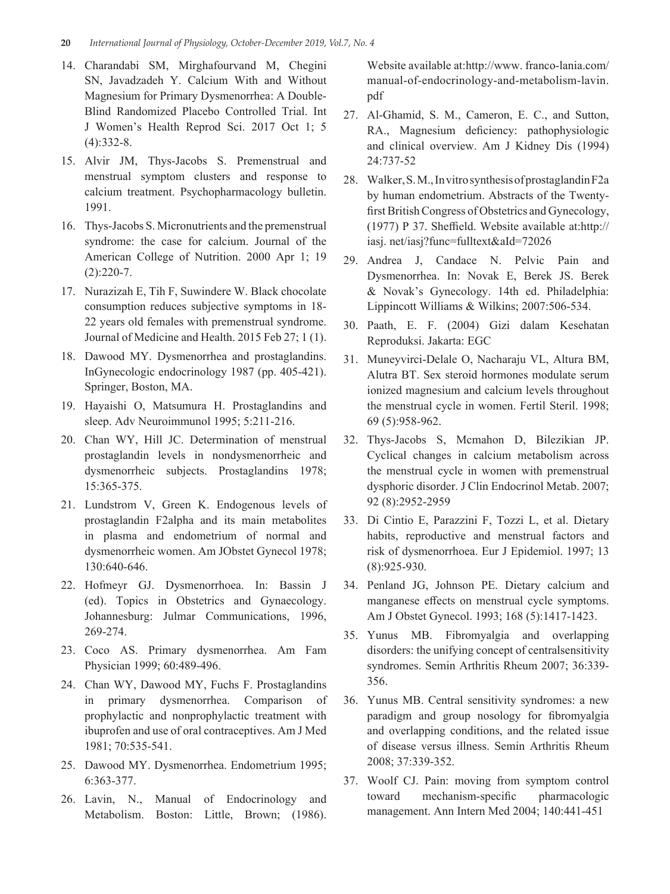- 14. Charandabi SM, Mirghafourvand M, Chegini SN, Javadzadeh Y. Calcium With and Without Magnesium for Primary Dysmenorrhea: A Double-Blind Randomized Placebo Controlled Trial. Int J Women's Health Reprod Sci. 2017 Oct 1; 5 (4):332-8.
- 15. Alvir JM, Thys-Jacobs S. Premenstrual and menstrual symptom clusters and response to calcium treatment. Psychopharmacology bulletin. 1991.
- 16. Thys-Jacobs S. Micronutrients and the premenstrual syndrome: the case for calcium. Journal of the American College of Nutrition. 2000 Apr 1; 19  $(2):220-7.$
- 17. Nurazizah E, Tih F, Suwindere W. Black chocolate consumption reduces subjective symptoms in 18- 22 years old females with premenstrual syndrome. Journal of Medicine and Health. 2015 Feb 27; 1 (1).
- 18. Dawood MY. Dysmenorrhea and prostaglandins. InGynecologic endocrinology 1987 (pp. 405-421). Springer, Boston, MA.
- 19. Hayaishi O, Matsumura H. Prostaglandins and sleep. Adv Neuroimmunol 1995; 5:211-216.
- 20. Chan WY, Hill JC. Determination of menstrual prostaglandin levels in nondysmenorrheic and dysmenorrheic subjects. Prostaglandins 1978; 15:365-375.
- 21. Lundstrom V, Green K. Endogenous levels of prostaglandin F2alpha and its main metabolites in plasma and endometrium of normal and dysmenorrheic women. Am JObstet Gynecol 1978; 130:640-646.
- 22. Hofmeyr GJ. Dysmenorrhoea. In: Bassin J (ed). Topics in Obstetrics and Gynaecology. Johannesburg: Julmar Communications, 1996, 269-274.
- 23. Coco AS. Primary dysmenorrhea. Am Fam Physician 1999; 60:489-496.
- 24. Chan WY, Dawood MY, Fuchs F. Prostaglandins in primary dysmenorrhea. Comparison of prophylactic and nonprophylactic treatment with ibuprofen and use of oral contraceptives. Am J Med 1981; 70:535-541.
- 25. Dawood MY. Dysmenorrhea. Endometrium 1995; 6:363-377.
- 26. Lavin, N., Manual of Endocrinology and Metabolism. Boston: Little, Brown; (1986).

Website available at:http://www. franco-lania.com/ manual-of-endocrinology-and-metabolism-lavin. pdf

- 27. Al-Ghamid, S. M., Cameron, E. C., and Sutton, RA., Magnesium deficiency: pathophysiologic and clinical overview. Am J Kidney Dis (1994) 24:737-52
- 28. Walker, S. M., In vitro synthesis of prostaglandin F2a by human endometrium. Abstracts of the Twentyfirst British Congress of Obstetrics and Gynecology, (1977) P 37. Sheffield. Website available at:http:// iasj. net/iasj?func=fulltext&aId=72026
- 29. Andrea J, Candace N. Pelvic Pain and Dysmenorrhea. In: Novak E, Berek JS. Berek & Novak's Gynecology. 14th ed. Philadelphia: Lippincott Williams & Wilkins; 2007:506-534.
- 30. Paath, E. F. (2004) Gizi dalam Kesehatan Reproduksi. Jakarta: EGC
- 31. Muneyvirci-Delale O, Nacharaju VL, Altura BM, Alutra BT. Sex steroid hormones modulate serum ionized magnesium and calcium levels throughout the menstrual cycle in women. Fertil Steril. 1998; 69 (5):958-962.
- 32. Thys-Jacobs S, Mcmahon D, Bilezikian JP. Cyclical changes in calcium metabolism across the menstrual cycle in women with premenstrual dysphoric disorder. J Clin Endocrinol Metab. 2007; 92 (8):2952-2959
- 33. Di Cintio E, Parazzini F, Tozzi L, et al. Dietary habits, reproductive and menstrual factors and risk of dysmenorrhoea. Eur J Epidemiol. 1997; 13 (8):925-930.
- 34. Penland JG, Johnson PE. Dietary calcium and manganese effects on menstrual cycle symptoms. Am J Obstet Gynecol. 1993; 168 (5):1417-1423.
- 35. Yunus MB. Fibromyalgia and overlapping disorders: the unifying concept of centralsensitivity syndromes. Semin Arthritis Rheum 2007; 36:339- 356.
- 36. Yunus MB. Central sensitivity syndromes: a new paradigm and group nosology for fibromyalgia and overlapping conditions, and the related issue of disease versus illness. Semin Arthritis Rheum 2008; 37:339-352.
- 37. Woolf CJ. Pain: moving from symptom control toward mechanism-specific pharmacologic management. Ann Intern Med 2004; 140:441-451